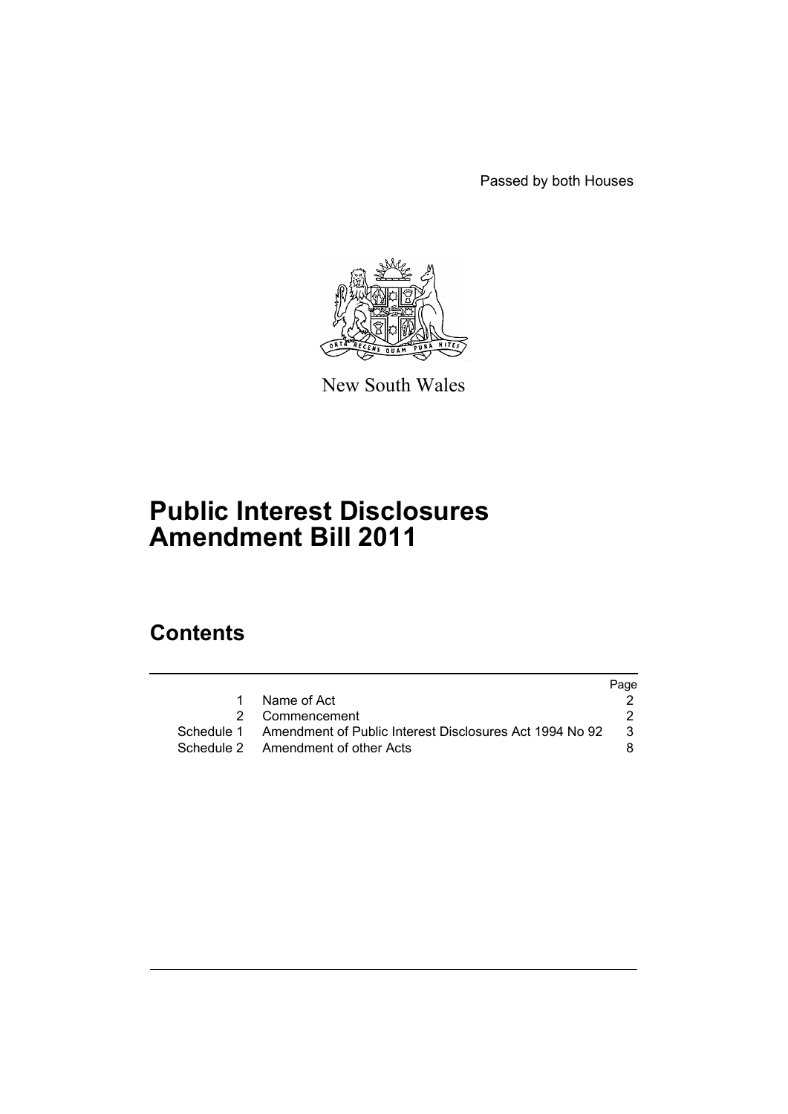Passed by both Houses



New South Wales

# **Public Interest Disclosures Amendment Bill 2011**

# **Contents**

|   |                                                                    | Page |
|---|--------------------------------------------------------------------|------|
| 1 | Name of Act                                                        |      |
|   | 2 Commencement                                                     |      |
|   | Schedule 1 Amendment of Public Interest Disclosures Act 1994 No 92 | 3    |
|   | Schedule 2 Amendment of other Acts                                 |      |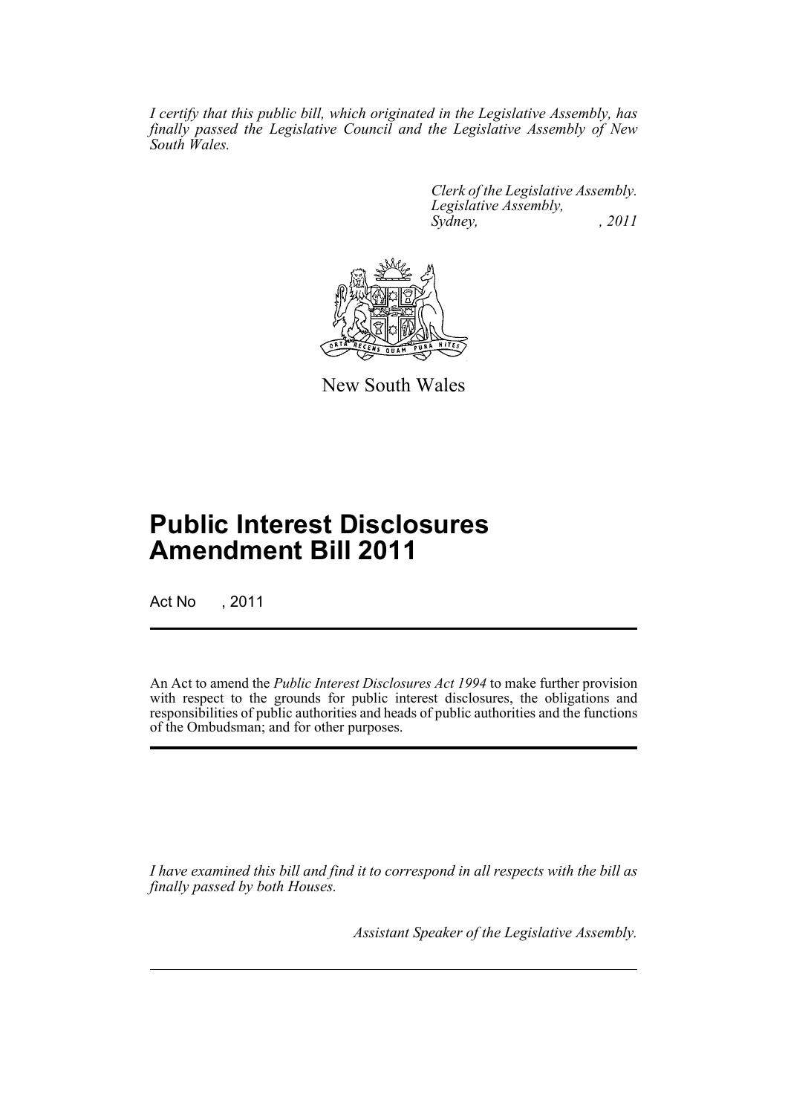*I certify that this public bill, which originated in the Legislative Assembly, has finally passed the Legislative Council and the Legislative Assembly of New South Wales.*

> *Clerk of the Legislative Assembly. Legislative Assembly, Sydney, , 2011*



New South Wales

# **Public Interest Disclosures Amendment Bill 2011**

Act No , 2011

An Act to amend the *Public Interest Disclosures Act 1994* to make further provision with respect to the grounds for public interest disclosures, the obligations and responsibilities of public authorities and heads of public authorities and the functions of the Ombudsman; and for other purposes.

*I have examined this bill and find it to correspond in all respects with the bill as finally passed by both Houses.*

*Assistant Speaker of the Legislative Assembly.*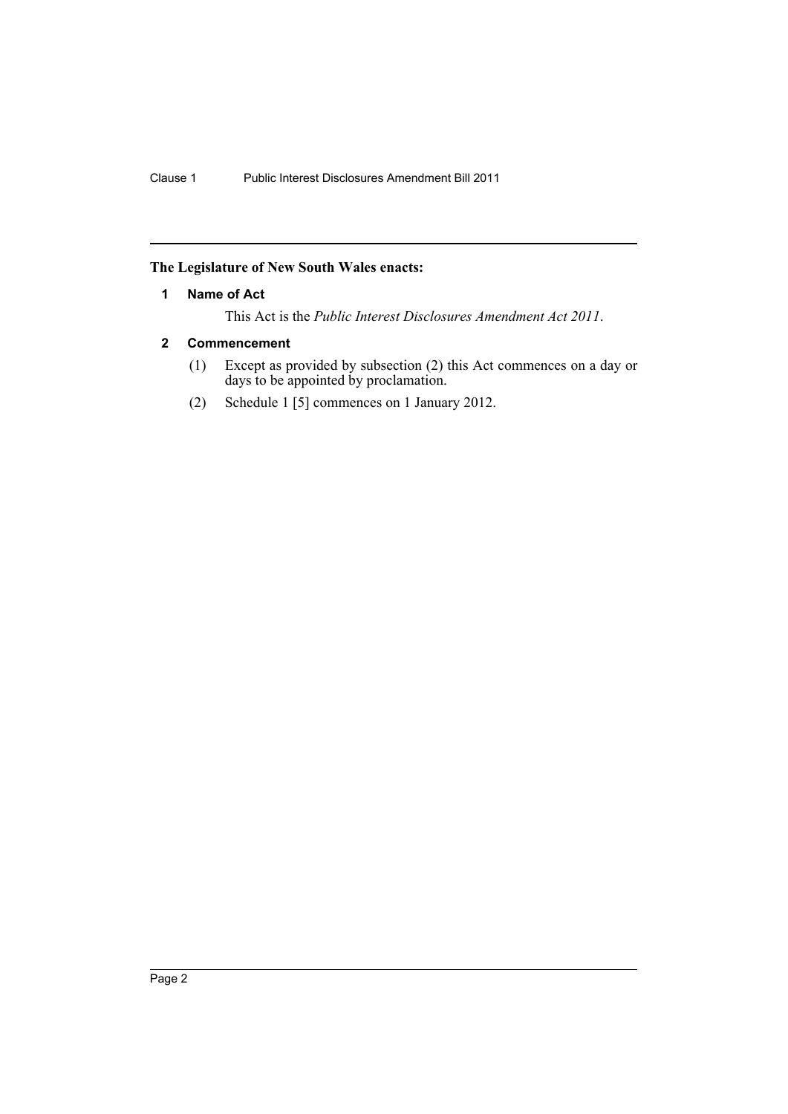## <span id="page-3-0"></span>**The Legislature of New South Wales enacts:**

#### **1 Name of Act**

This Act is the *Public Interest Disclosures Amendment Act 2011*.

## <span id="page-3-1"></span>**2 Commencement**

- (1) Except as provided by subsection (2) this Act commences on a day or days to be appointed by proclamation.
- (2) Schedule 1 [5] commences on 1 January 2012.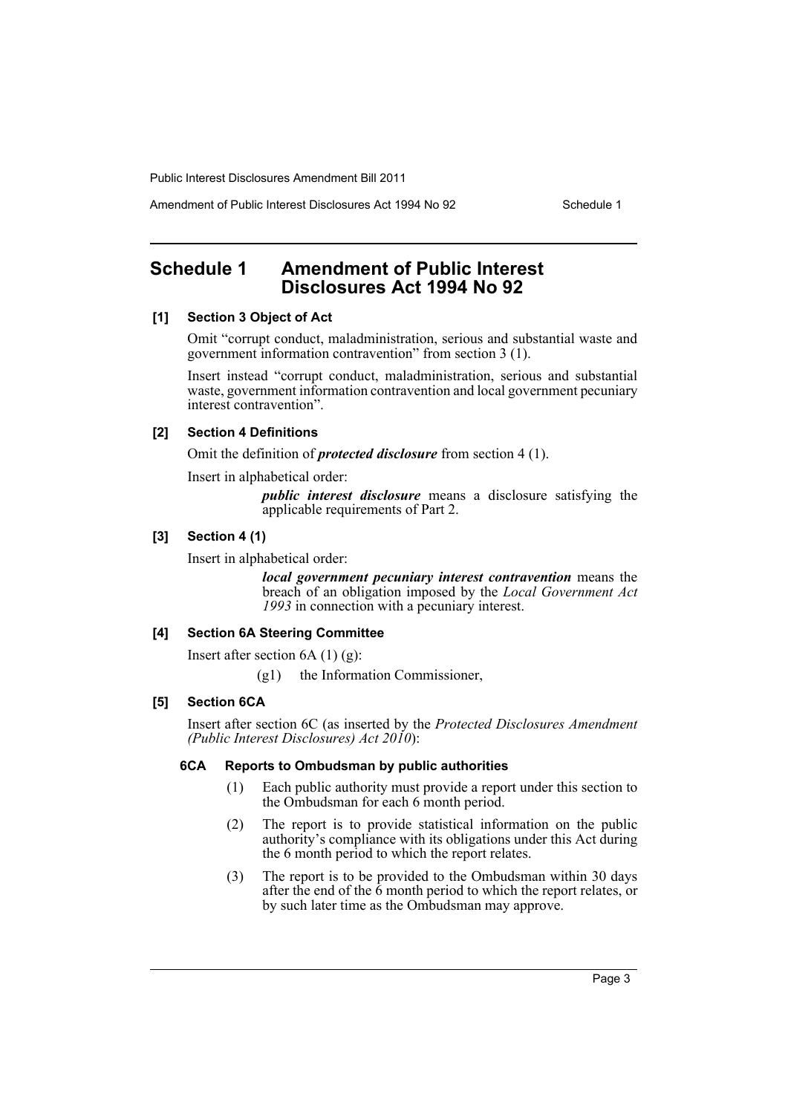Amendment of Public Interest Disclosures Act 1994 No 92 Schedule 1

# <span id="page-4-0"></span>**Schedule 1 Amendment of Public Interest Disclosures Act 1994 No 92**

## **[1] Section 3 Object of Act**

Omit "corrupt conduct, maladministration, serious and substantial waste and government information contravention" from section 3 (1).

Insert instead "corrupt conduct, maladministration, serious and substantial waste, government information contravention and local government pecuniary interest contravention".

#### **[2] Section 4 Definitions**

Omit the definition of *protected disclosure* from section 4 (1).

Insert in alphabetical order:

*public interest disclosure* means a disclosure satisfying the applicable requirements of Part 2.

#### **[3] Section 4 (1)**

Insert in alphabetical order:

*local government pecuniary interest contravention* means the breach of an obligation imposed by the *Local Government Act 1993* in connection with a pecuniary interest.

## **[4] Section 6A Steering Committee**

Insert after section  $6A(1)(g)$ :

(g1) the Information Commissioner,

#### **[5] Section 6CA**

Insert after section 6C (as inserted by the *Protected Disclosures Amendment (Public Interest Disclosures) Act 2010*):

#### **6CA Reports to Ombudsman by public authorities**

- (1) Each public authority must provide a report under this section to the Ombudsman for each 6 month period.
- (2) The report is to provide statistical information on the public authority's compliance with its obligations under this Act during the 6 month period to which the report relates.
- (3) The report is to be provided to the Ombudsman within 30 days after the end of the  $\tilde{6}$  month period to which the report relates, or by such later time as the Ombudsman may approve.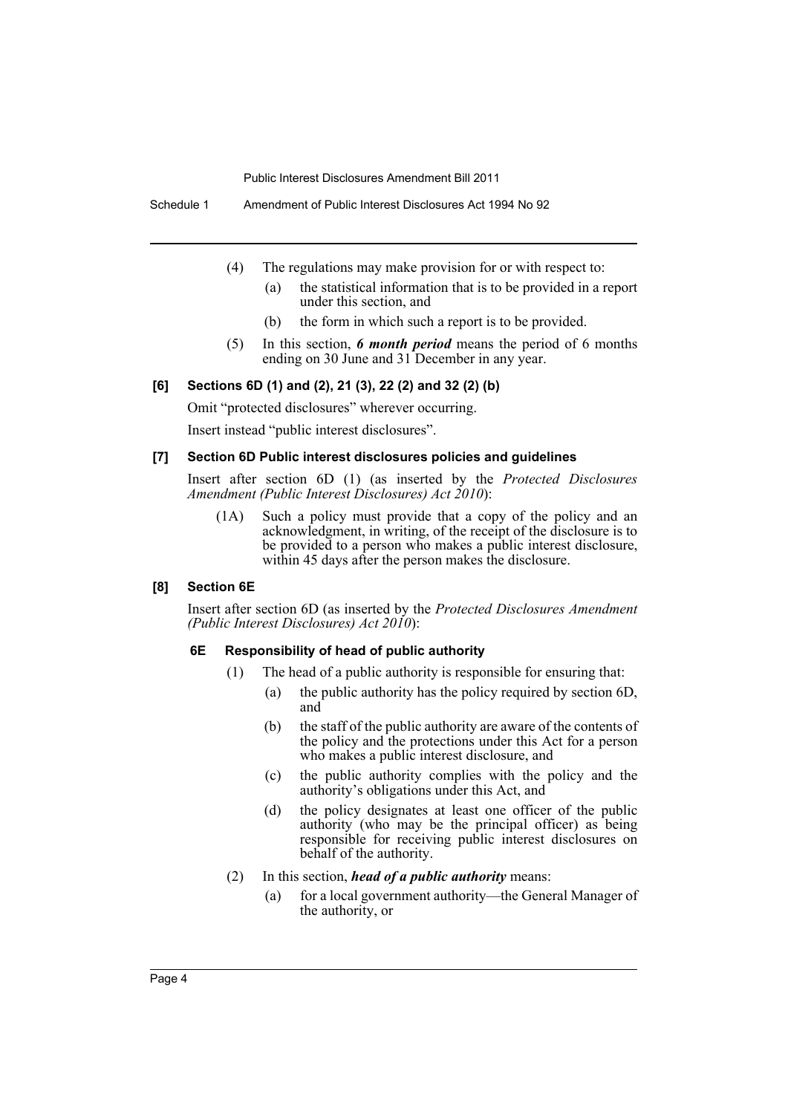Schedule 1 Amendment of Public Interest Disclosures Act 1994 No 92

- (4) The regulations may make provision for or with respect to:
	- (a) the statistical information that is to be provided in a report under this section, and
	- (b) the form in which such a report is to be provided.
- (5) In this section, *6 month period* means the period of 6 months ending on 30 June and 31 December in any year.

#### **[6] Sections 6D (1) and (2), 21 (3), 22 (2) and 32 (2) (b)**

Omit "protected disclosures" wherever occurring.

Insert instead "public interest disclosures".

#### **[7] Section 6D Public interest disclosures policies and guidelines**

Insert after section 6D (1) (as inserted by the *Protected Disclosures Amendment (Public Interest Disclosures) Act 2010*):

(1A) Such a policy must provide that a copy of the policy and an acknowledgment, in writing, of the receipt of the disclosure is to be provided to a person who makes a public interest disclosure, within 45 days after the person makes the disclosure.

#### **[8] Section 6E**

Insert after section 6D (as inserted by the *Protected Disclosures Amendment (Public Interest Disclosures) Act 2010*):

#### **6E Responsibility of head of public authority**

- (1) The head of a public authority is responsible for ensuring that:
	- (a) the public authority has the policy required by section 6D, and
	- (b) the staff of the public authority are aware of the contents of the policy and the protections under this Act for a person who makes a public interest disclosure, and
	- (c) the public authority complies with the policy and the authority's obligations under this Act, and
	- (d) the policy designates at least one officer of the public authority (who may be the principal officer) as being responsible for receiving public interest disclosures on behalf of the authority.
- (2) In this section, *head of a public authority* means:
	- (a) for a local government authority—the General Manager of the authority, or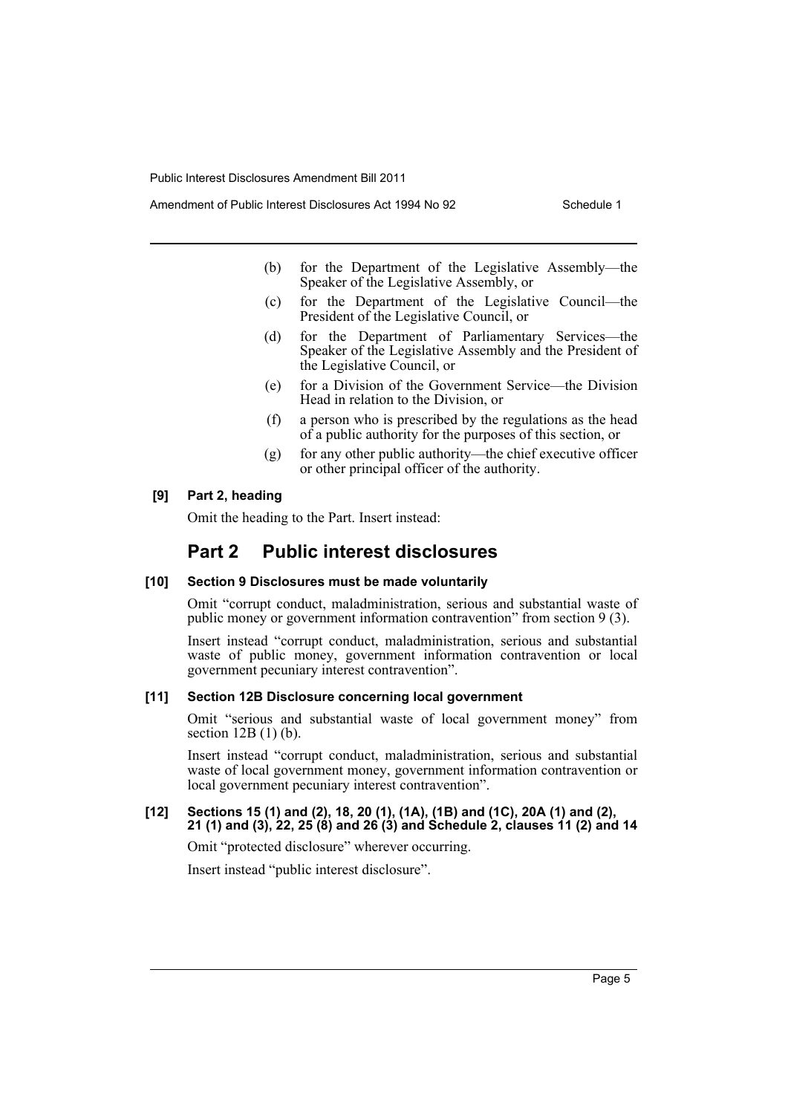- - (b) for the Department of the Legislative Assembly—the Speaker of the Legislative Assembly, or
	- (c) for the Department of the Legislative Council—the President of the Legislative Council, or
	- (d) for the Department of Parliamentary Services—the Speaker of the Legislative Assembly and the President of the Legislative Council, or
	- (e) for a Division of the Government Service—the Division Head in relation to the Division, or
	- (f) a person who is prescribed by the regulations as the head of a public authority for the purposes of this section, or
	- (g) for any other public authority—the chief executive officer or other principal officer of the authority.

## **[9] Part 2, heading**

Omit the heading to the Part. Insert instead:

# **Part 2 Public interest disclosures**

#### **[10] Section 9 Disclosures must be made voluntarily**

Omit "corrupt conduct, maladministration, serious and substantial waste of public money or government information contravention" from section 9 (3).

Insert instead "corrupt conduct, maladministration, serious and substantial waste of public money, government information contravention or local government pecuniary interest contravention".

#### **[11] Section 12B Disclosure concerning local government**

Omit "serious and substantial waste of local government money" from section 12B (1) (b).

Insert instead "corrupt conduct, maladministration, serious and substantial waste of local government money, government information contravention or local government pecuniary interest contravention".

#### **[12] Sections 15 (1) and (2), 18, 20 (1), (1A), (1B) and (1C), 20A (1) and (2), 21 (1) and (3), 22, 25 (8) and 26 (3) and Schedule 2, clauses 11 (2) and 14**

Omit "protected disclosure" wherever occurring.

Insert instead "public interest disclosure".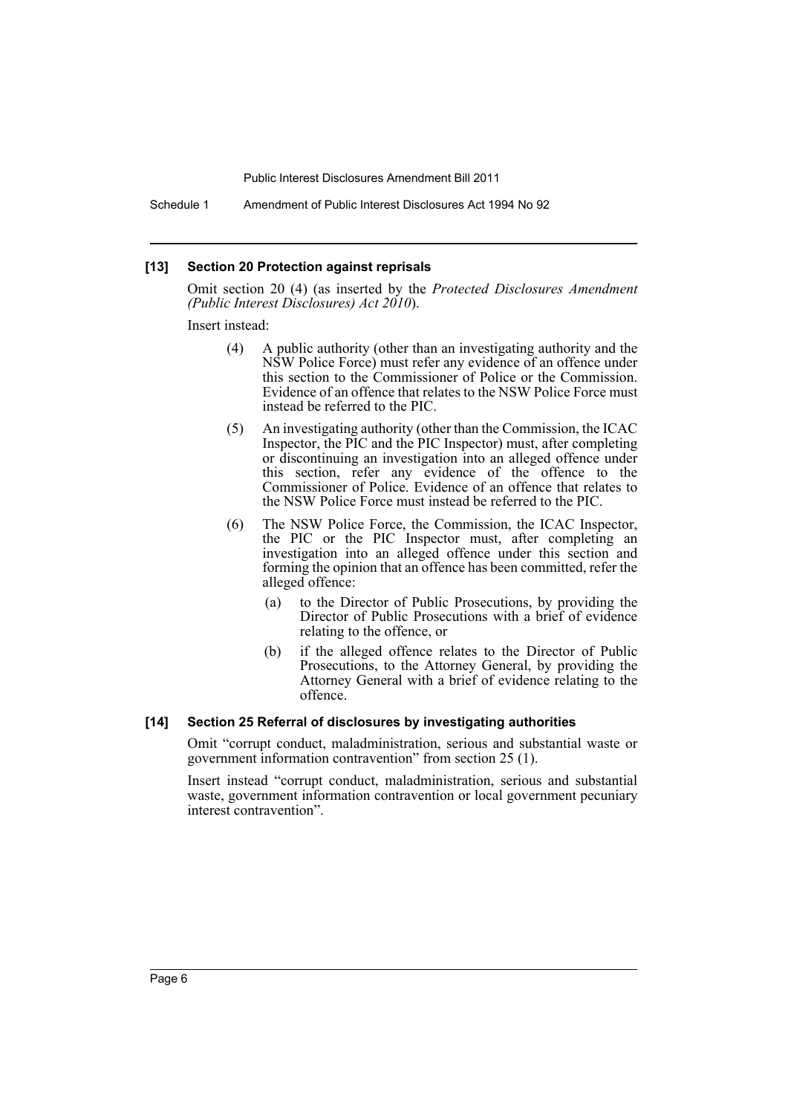Schedule 1 Amendment of Public Interest Disclosures Act 1994 No 92

#### **[13] Section 20 Protection against reprisals**

Omit section 20 (4) (as inserted by the *Protected Disclosures Amendment (Public Interest Disclosures) Act 2010*).

Insert instead:

- (4) A public authority (other than an investigating authority and the NSW Police Force) must refer any evidence of an offence under this section to the Commissioner of Police or the Commission. Evidence of an offence that relates to the NSW Police Force must instead be referred to the PIC.
- (5) An investigating authority (other than the Commission, the ICAC Inspector, the PIC and the PIC Inspector) must, after completing or discontinuing an investigation into an alleged offence under this section, refer any evidence of the offence to the Commissioner of Police. Evidence of an offence that relates to the NSW Police Force must instead be referred to the PIC.
- (6) The NSW Police Force, the Commission, the ICAC Inspector, the PIC or the PIC Inspector must, after completing an investigation into an alleged offence under this section and forming the opinion that an offence has been committed, refer the alleged offence:
	- (a) to the Director of Public Prosecutions, by providing the Director of Public Prosecutions with a brief of evidence relating to the offence, or
	- (b) if the alleged offence relates to the Director of Public Prosecutions, to the Attorney General, by providing the Attorney General with a brief of evidence relating to the offence.

#### **[14] Section 25 Referral of disclosures by investigating authorities**

Omit "corrupt conduct, maladministration, serious and substantial waste or government information contravention" from section 25 (1).

Insert instead "corrupt conduct, maladministration, serious and substantial waste, government information contravention or local government pecuniary interest contravention".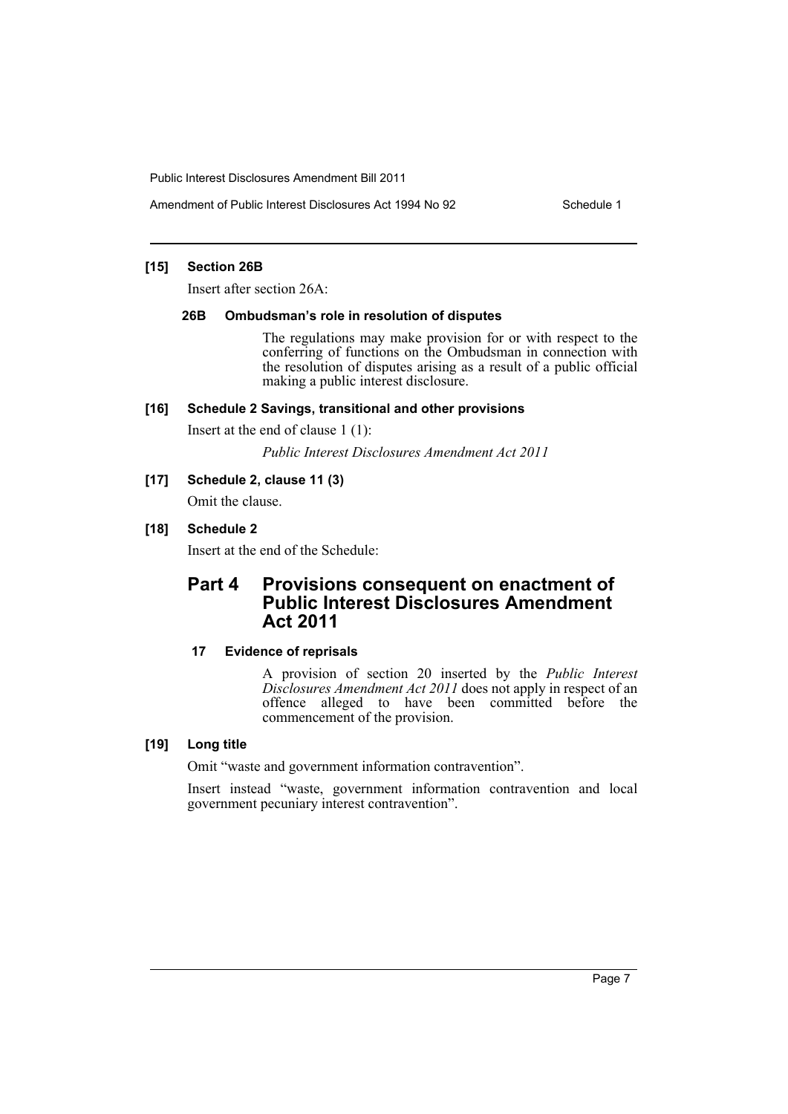### **[15] Section 26B**

Insert after section 26A:

#### **26B Ombudsman's role in resolution of disputes**

The regulations may make provision for or with respect to the conferring of functions on the Ombudsman in connection with the resolution of disputes arising as a result of a public official making a public interest disclosure.

#### **[16] Schedule 2 Savings, transitional and other provisions**

Insert at the end of clause 1 (1):

*Public Interest Disclosures Amendment Act 2011*

#### **[17] Schedule 2, clause 11 (3)**

Omit the clause.

## **[18] Schedule 2**

Insert at the end of the Schedule:

# **Part 4 Provisions consequent on enactment of Public Interest Disclosures Amendment Act 2011**

## **17 Evidence of reprisals**

A provision of section 20 inserted by the *Public Interest Disclosures Amendment Act 2011* does not apply in respect of an offence alleged to have been committed before the commencement of the provision.

## **[19] Long title**

Omit "waste and government information contravention".

Insert instead "waste, government information contravention and local government pecuniary interest contravention".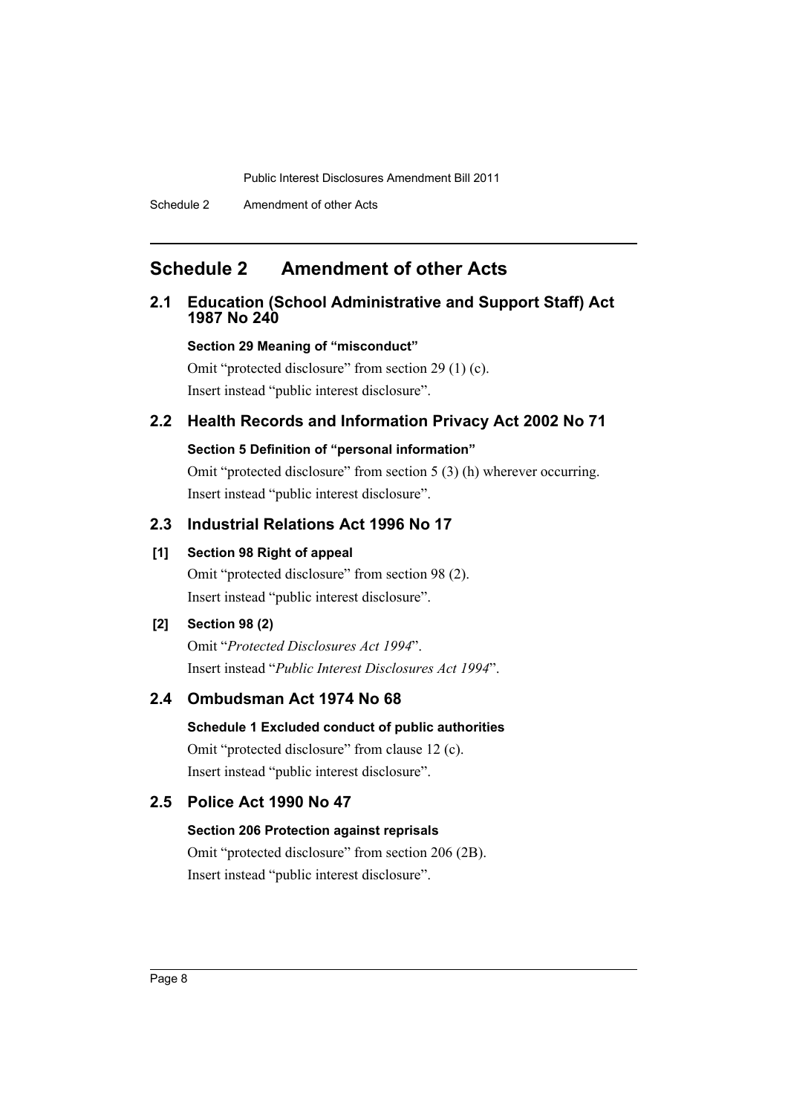# <span id="page-9-0"></span>**Schedule 2 Amendment of other Acts**

## **2.1 Education (School Administrative and Support Staff) Act 1987 No 240**

## **Section 29 Meaning of "misconduct"**

Omit "protected disclosure" from section 29 (1) (c). Insert instead "public interest disclosure".

## **2.2 Health Records and Information Privacy Act 2002 No 71**

#### **Section 5 Definition of "personal information"**

Omit "protected disclosure" from section 5 (3) (h) wherever occurring. Insert instead "public interest disclosure".

# **2.3 Industrial Relations Act 1996 No 17**

## **[1] Section 98 Right of appeal**

Omit "protected disclosure" from section 98 (2). Insert instead "public interest disclosure".

## **[2] Section 98 (2)**

Omit "*Protected Disclosures Act 1994*". Insert instead "*Public Interest Disclosures Act 1994*".

## **2.4 Ombudsman Act 1974 No 68**

**Schedule 1 Excluded conduct of public authorities** Omit "protected disclosure" from clause 12 (c). Insert instead "public interest disclosure".

## **2.5 Police Act 1990 No 47**

#### **Section 206 Protection against reprisals**

Omit "protected disclosure" from section 206 (2B). Insert instead "public interest disclosure".